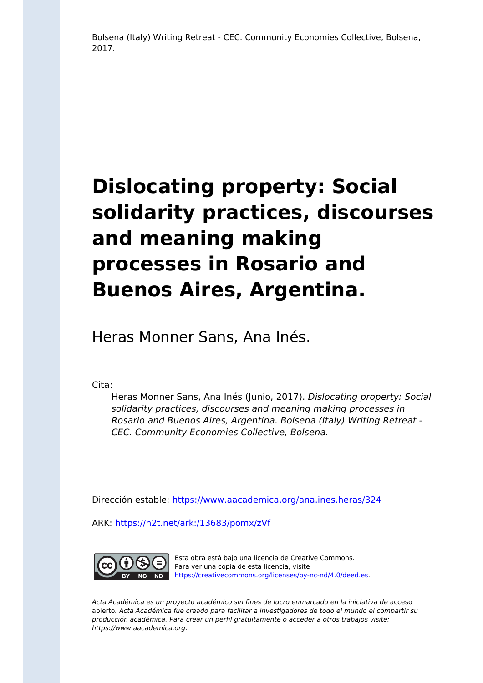Bolsena (Italy) Writing Retreat - CEC. Community Economies Collective, Bolsena, 2017.

## **Dislocating property: Social solidarity practices, discourses and meaning making processes in Rosario and Buenos Aires, Argentina.**

Heras Monner Sans, Ana Inés.

Cita:

Heras Monner Sans, Ana Inés (Junio, 2017). Dislocating property: Social solidarity practices, discourses and meaning making processes in Rosario and Buenos Aires, Argentina. Bolsena (Italy) Writing Retreat - CEC. Community Economies Collective, Bolsena.

Dirección estable:<https://www.aacademica.org/ana.ines.heras/324>

ARK: <https://n2t.net/ark:/13683/pomx/zVf>



Esta obra está bajo una licencia de Creative Commons. Para ver una copia de esta licencia, visite [https://creativecommons.org/licenses/by-nc-nd/4.0/deed.es.](https://creativecommons.org/licenses/by-nc-nd/4.0/deed.es)

Acta Académica es un proyecto académico sin fines de lucro enmarcado en la iniciativa de acceso abierto. Acta Académica fue creado para facilitar a investigadores de todo el mundo el compartir su producción académica. Para crear un perfil gratuitamente o acceder a otros trabajos visite: https://www.aacademica.org.